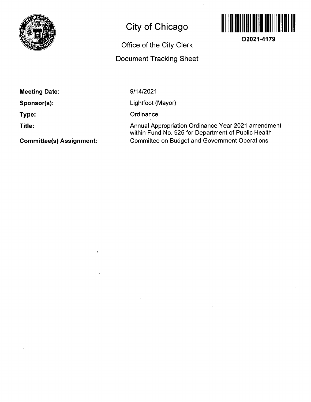

# **City of Chicago**

## **Office of the City Clerk**

### **Document Tracking Sheet**



**02021-4179** 

**Meeting Date:** 

**Sponsor(s):** 

**Type:** 

**Title:** 

**Committee(s) Assignment:** 

9/14/2021

Lightfoot (Mayor)

**Ordinance** 

Annual Appropriation Ordinance Year 2021 amendment within Fund No. 925 for Department of Public Health Committee on Budget and Government Operations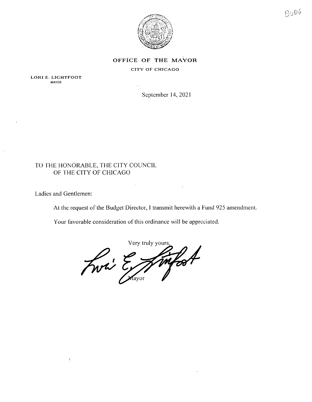

### OFFICE OF THE MAYOR CITY OF CHICAGO

LORI E. LIGHTFOOT **MAYOR** 

September 14, 2021

### TO THE HONORABLE, THE CITY COUNCIL OF THE CITY OF CHICAGO

Ladies and Gentlemen:

 $\frac{1}{2}$ 

At the request of the Budget Director, I transmit herewith a Fund 925 amendment.

Your favorable consideration of this ordinance will be appreciated.

Very truly yours Lwi E Simfoot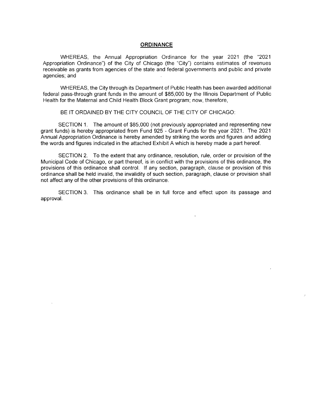### **ORDINANCE**

WHEREAS, the Annual Appropriation Ordinance for the year 2021 (the "2021 Appropriation Ordinance") of the City of Chicago (the "City") contains estimates of revenues receivable as grants from agencies of the state and federal governments and public and private agencies; and

WHEREAS, the City through its Department of Public Health has been awarded additional federal pass-through grant funds in the amount of \$85,000 by the Illinois Department of Public Health for the Maternal and Child Health Block Grant program; now, therefore,

BE IT ORDAINED BY THE CITY COUNCIL OF THE CITY OF CHICAGO:

SECTION 1. The amount of \$85,000 (not previously appropriated and representing new grant funds) is hereby appropriated from Fund 925 - Grant Funds for the year 2021. The 2021 Annual Appropriation Ordinance is hereby amended by striking the words and figures and adding the words and figures indicated in the attached Exhibit A which is hereby made a part hereof

SECTION 2. To the extent that any ordinance, resolution, rule, order or provision of the Municipal Code of Chicago, or part thereof, is in conflict with the provisions of this ordinance, the provisions of this ordinance shall control. If any section, paragraph, clause or provision of this ordinance shall be held invalid, the invalidity of such section, paragraph, clause or provision shall not affect any of the other provisions of this ordinance.

SECTION 3. This ordinance shall be in full force and effect upon its passage and approval.